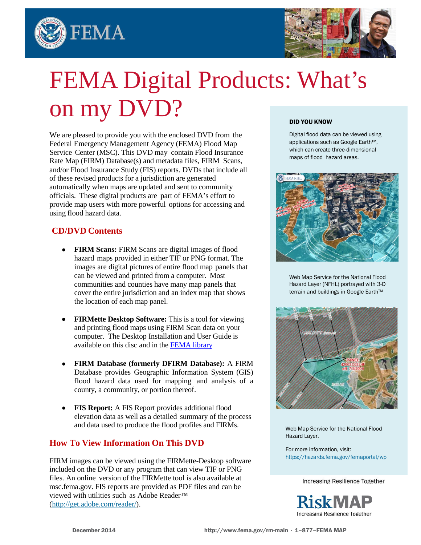



# FEMA Digital Products: What's on my DVD?

We are pleased to provide you with the enclosed DVD from the Federal Emergency Management Agency (FEMA) Flood Map Service Center (MSC). This DVD may contain Flood Insurance Rate Map (FIRM) Database(s) and metadata files, FIRM Scans, and/or Flood Insurance Study (FIS) reports. DVDs that include all of these revised products for a jurisdiction are generated automatically when maps are updated and sent to community officials. These digital products are part of FEMA's effort to provide map users with more powerful options for accessing and using flood hazard data.

# **CD/DVD Contents**

- **FIRM Scans:** FIRM Scans are digital images of flood hazard maps provided in either TIF or PNG format. The images are digital pictures of entire flood map panels that can be viewed and printed from a computer. Most communities and counties have many map panels that cover the entire jurisdiction and an index map that shows the location of each map panel.
- **FIRMette Desktop Software:** This is a tool for viewing and printing flood maps using FIRM Scan data on your computer. The Desktop Installation and User Guide is available on this disc and in th[e FEMA library](http://www.fema.gov/media-library/assets/documents/34930)
- **FIRM Database (formerly DFIRM Database):** A FIRM Database provides Geographic Information System (GIS) flood hazard data used for mapping and analysis of a county, a community, or portion thereof.
- **FIS Report:** A FIS Report provides additional flood elevation data as well as a detailed summary of the process and data used to produce the flood profiles and FIRMs.

# **How To View Information On This DVD**

FIRM images can be viewed using the FIRMette-Desktop software included on the DVD or any program that can view TIF or PNG files. An online version of the FIRMette tool is also available at msc.fema.gov. FIS reports are provided as PDF files and can be viewed with utilities such as Adobe Reader™ [\(http://get.adobe.com/reader/\)](http://get.adobe.com/reader/).

#### DID YOU KNOW

Digital flood data can be viewed using applications such as Google Earth™, which can create three-dimensional maps of flood hazard areas.



Web Map Service for the National Flood Hazard Layer (NFHL) portrayed with 3-D terrain and buildings in Google Earth™



Web Map Service for the National Flood Hazard Layer.

For more information, visit: [https://hazards.fema.gov/femaportal/wp](https://hazards.fema.gov/femaportal/wps/portal/NFHLWMSkmzdownload)

Increasing Resilience Together

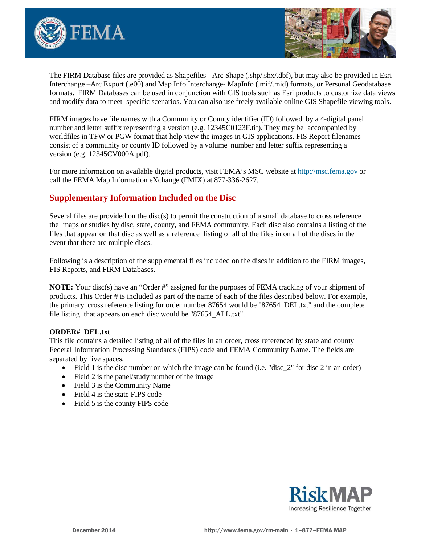



The FIRM Database files are provided as Shapefiles - Arc Shape (.shp/.shx/.dbf), but may also be provided in Esri Interchange –Arc Export (.e00) and Map Info Interchange- MapInfo (.mif/.mid) formats, or Personal Geodatabase formats. FIRM Databases can be used in conjunction with GIS tools such as Esri products to customize data views and modify data to meet specific scenarios. You can also use freely available online GIS Shapefile viewing tools.

FIRM images have file names with a Community or County identifier (ID) followed by a 4-digital panel number and letter suffix representing a version (e.g. 12345C0123F.tif). They may be accompanied by worldfiles in TFW or PGW format that help view the images in GIS applications. FIS Report filenames consist of a community or county ID followed by a volume number and letter suffix representing a version (e.g. 12345CV000A.pdf).

For more information on available digital products, visit FEMA's MSC website at [http://msc.fema.gov](http://msc.fema.gov/) or call the FEMA Map Information eXchange (FMIX) at 877-336-2627.

# **Supplementary Information Included on the Disc**

Several files are provided on the disc(s) to permit the construction of a small database to cross reference the maps or studies by disc, state, county, and FEMA community. Each disc also contains a listing of the files that appear on that disc as well as a reference listing of all of the files in on all of the discs in the event that there are multiple discs.

Following is a description of the supplemental files included on the discs in addition to the FIRM images, FIS Reports, and FIRM Databases.

**NOTE:** Your disc(s) have an "Order #" assigned for the purposes of FEMA tracking of your shipment of products. This Order # is included as part of the name of each of the files described below. For example, the primary cross reference listing for order number 87654 would be "87654\_DEL.txt" and the complete file listing that appears on each disc would be "87654 ALL.txt".

#### **ORDER#\_DEL.txt**

This file contains a detailed listing of all of the files in an order, cross referenced by state and county Federal Information Processing Standards (FIPS) code and FEMA Community Name. The fields are separated by five spaces.

- Field 1 is the disc number on which the image can be found (i.e. "disc  $2$ " for disc  $2$  in an order)
- Field 2 is the panel/study number of the image
- Field 3 is the Community Name
- Field 4 is the state FIPS code
- Field 5 is the county FIPS code